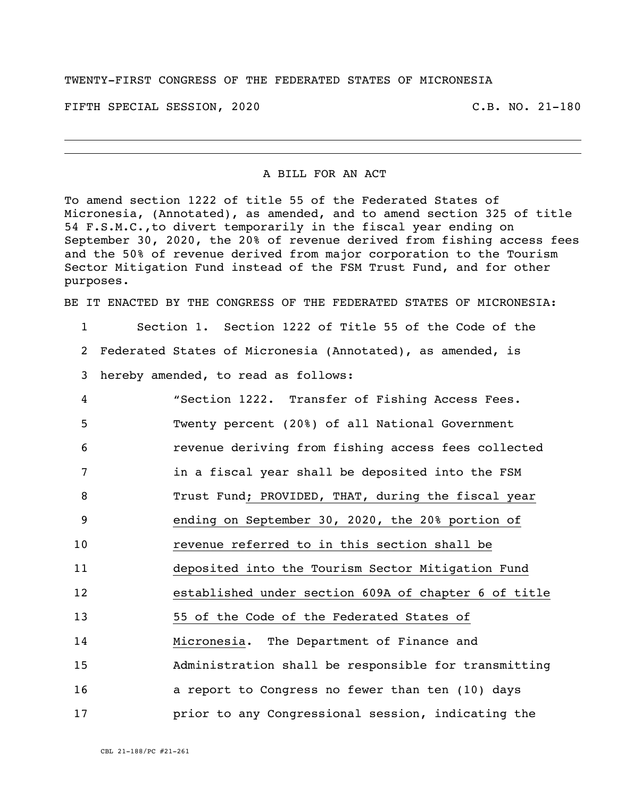## TWENTY-FIRST CONGRESS OF THE FEDERATED STATES OF MICRONESIA

FIFTH SPECIAL SESSION, 2020 C.B. NO. 21-180

## A BILL FOR AN ACT

To amend section 1222 of title 55 of the Federated States of Micronesia, (Annotated), as amended, and to amend section 325 of title 54 F.S.M.C.,to divert temporarily in the fiscal year ending on September 30, 2020, the 20% of revenue derived from fishing access fees and the 50% of revenue derived from major corporation to the Tourism Sector Mitigation Fund instead of the FSM Trust Fund, and for other purposes.

BE IT ENACTED BY THE CONGRESS OF THE FEDERATED STATES OF MICRONESIA:

1 Section 1. Section 1222 of Title 55 of the Code of the 2 Federated States of Micronesia (Annotated), as amended, is 3 hereby amended, to read as follows:

| 4  | "Section 1222. Transfer of Fishing Access Fees.      |
|----|------------------------------------------------------|
| 5  | Twenty percent (20%) of all National Government      |
| 6  | revenue deriving from fishing access fees collected  |
| 7  | in a fiscal year shall be deposited into the FSM     |
| 8  | Trust Fund; PROVIDED, THAT, during the fiscal year   |
| 9  | ending on September 30, 2020, the 20% portion of     |
| 10 | revenue referred to in this section shall be         |
| 11 | deposited into the Tourism Sector Mitigation Fund    |
| 12 | established under section 609A of chapter 6 of title |
| 13 | 55 of the Code of the Federated States of            |
| 14 | Micronesia. The Department of Finance and            |
| 15 | Administration shall be responsible for transmitting |
| 16 | a report to Congress no fewer than ten (10) days     |
| 17 | prior to any Congressional session, indicating the   |